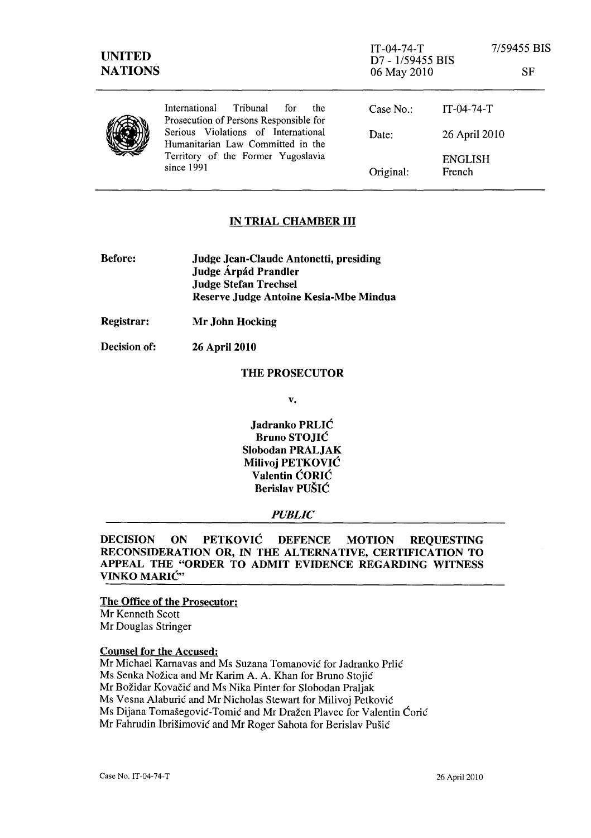| <b>UNITED</b><br><b>NATIONS</b> |                                                                                                                              | $IT-04-74-T$<br>D7 - 1/59455 BIS<br>06 May 2010 |                          | 7/59455 BIS<br>SF |
|---------------------------------|------------------------------------------------------------------------------------------------------------------------------|-------------------------------------------------|--------------------------|-------------------|
|                                 | Tribunal<br>International<br>for<br>the<br>Prosecution of Persons Responsible for                                            | Case $No.$ :                                    | $IT-04-74-T$             |                   |
|                                 | Serious Violations of International<br>Humanitarian Law Committed in the<br>Territory of the Former Yugoslavia<br>since 1991 | Date:                                           | 26 April 2010            |                   |
|                                 |                                                                                                                              | Original:                                       | <b>ENGLISH</b><br>French |                   |

# IN TRIAL CHAMBER **III**

| <b>Before:</b> | Judge Jean-Claude Antonetti, presiding |  |  |
|----------------|----------------------------------------|--|--|
|                | Judge Árpád Prandler                   |  |  |
|                | <b>Judge Stefan Trechsel</b>           |  |  |
|                | Reserve Judge Antoine Kesia-Mbe Mindua |  |  |

Registrar: Mr John Hocking

Decision of: 26 April 2010

# THE PROSECUTOR

v.

Jadranko PRLIC Bruno STOJIC Slobodan PRALJAK Milivoj PETKOVIC Valentin CORIC Berislav PUSIC

## *PUBLIC*

DECISION ON PETKOVIC DEFENCE MOTION REQUESTING RECONSIDERA TION OR, IN THE ALTERNATIVE, CERTIFICATION TO APPEAL THE "ORDER TO ADMIT EVIDENCE REGARDING WITNESS VINKO MARIC"

### The Office of the Prosecutor:

Mr Kenneth Scott Mr Douglas Stringer

#### Counsel for the Accused:

Mr Michael Karnavas and Ms Suzana Tomanović for Jadranko Prlić Ms Senka Nožica and Mr Karim A. A. Khan for Bruno Stojić Mr Božidar Kovačić and Ms Nika Pinter for Slobodan Praljak Ms Vesna Alaburic and Mr Nicholas Stewart for Milivoj Petkovic Ms Dijana Tomašegović-Tomić and Mr Dražen Plavec for Valentin Ćorić Mr Fahrudin Ibrišimović and Mr Roger Sahota for Berislav Pušić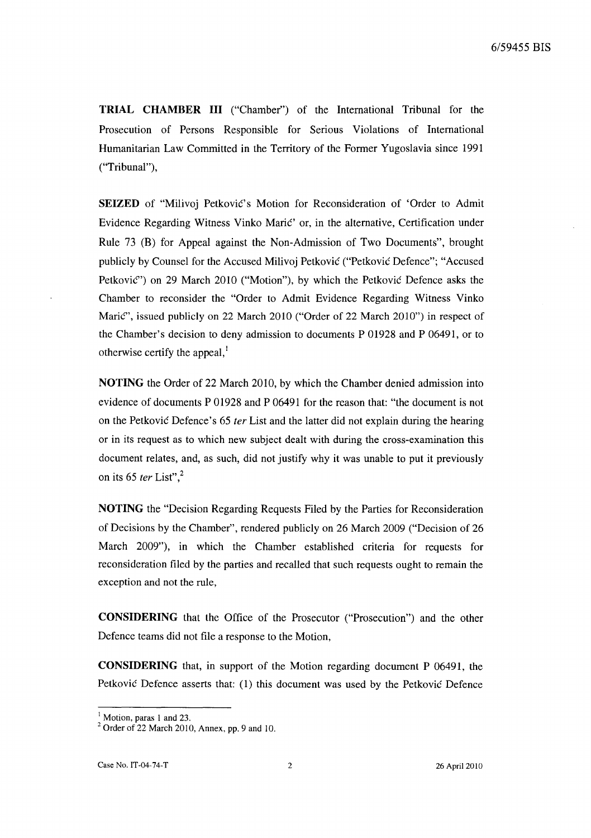**TRIAL CHAMBER III** ("Chamber") of the International Tribunal for the Prosecution of Persons Responsible for Serious Violations of International Humanitarian Law Committed in the Territory of the Former Yugoslavia since 1991 ("Tribunal"),

**SEIZED** of "Milivoj Petković's Motion for Reconsideration of 'Order to Admit Evidence Regarding Witness Vinko Marie' or, in the alternative, Certification under Rule 73 (B) for Appeal against the Non-Admission of Two Documents", brought publicly by Counsel for the Accused Milivoj Petkovie ("Petkovie Defence"; "Accused Petković") on 29 March 2010 ("Motion"), by which the Petković Defence asks the Chamber to reconsider the "Order to Admit Evidence Regarding Witness Vinko Marić", issued publicly on 22 March 2010 ("Order of 22 March 2010") in respect of the Chamber's decision to deny admission to documents P 01928 and P 06491, or to otherwise certify the appeal, $<sup>I</sup>$ </sup>

**NOTING** the Order of 22 March 2010, by which the Chamber denied admission into evidence of documents P 01928 and P 06491 for the reason that: "the document is not on the Petković Defence's 65 ter List and the latter did not explain during the hearing or in its request as to which new subject dealt with during the cross-examination this document relates, and, as such, did not justify why it was unable to put it previously on its 65 ter List", $2$ 

**NOTING** the "Decision Regarding Requests Filed by the Parties for Reconsideration of Decisions by the Chamber", rendered publicly on 26 March 2009 ("Decision of 26 March 2009"), in which the Chamber established criteria for requests for reconsideration filed by the parties and recalled that such requests ought to remain the exception and not the rule,

**CONSIDERING** that the Office of the Prosecutor ("Prosecution") and the other Defence teams did not file a response to the Motion,

**CONSIDERING** that, in support of the Motion regarding document P 06491, the Petković Defence asserts that: (1) this document was used by the Petković Defence

 $<sup>1</sup>$  Motion, paras 1 and 23.</sup>

<sup>2</sup> Order of 22 March 2010, Annex, pp. 9 and 10.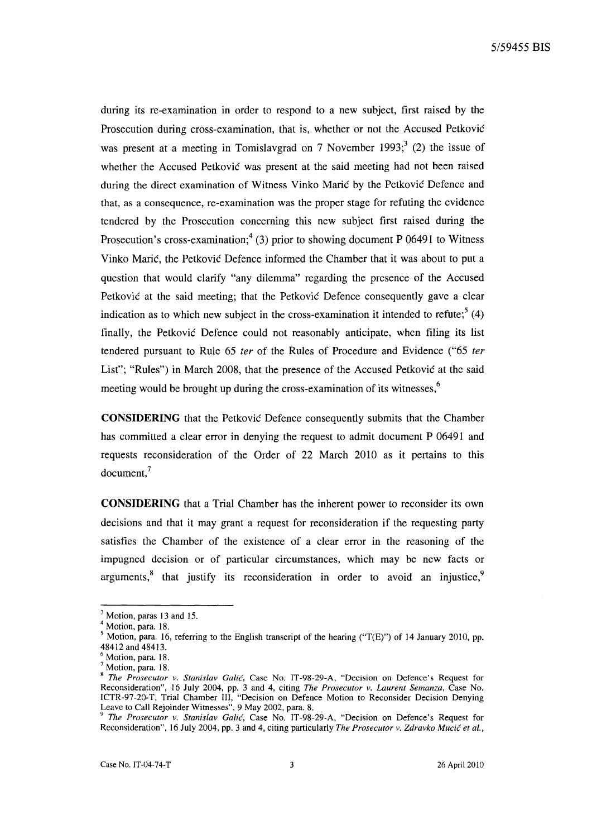during its re-examination in order to respond to a new subject, first raised by the Prosecution during cross-examination, that is, whether or not the Accused Petković was present at a meeting in Tomislavgrad on 7 November 1993;  $(2)$  the issue of whether the Accused Petković was present at the said meeting had not been raised during the direct examination of Witness Vinko Marić by the Petković Defence and that, as a consequence, re-examination was the proper stage for refuting the evidence tendered by the Prosecution concerning this new subject first raised during the Prosecution's cross-examination;<sup>4</sup> (3) prior to showing document P 06491 to Witness Vinko Marie, the Petkovie Defence informed the Chamber that it was about to put a question that would clarify "any dilemma" regarding the presence of the Accused Petković at the said meeting; that the Petković Defence consequently gave a clear indication as to which new subject in the cross-examination it intended to refute; $(4)$ finally, the Petkovic Defence could not reasonably anticipate, when filing its list tendered pursuant to Rule 65 fer of the Rules of Procedure and Evidence ("65 fer List"; "Rules") in March 2008, that the presence of the Accused Petković at the said meeting would be brought up during the cross-examination of its witnesses,<sup>6</sup>

**CONSIDERING** that the Petkovie Defence consequently submits that the Chamber has committed a clear error in denying the request to admit document P 06491 and requests reconsideration of the Order of 22 March 2010 as it pertains to this document,7

**CONSIDERING** that a Trial Chamber has the inherent power to reconsider its own decisions and that it may grant a request for reconsideration if the requesting party satisfies the Chamber of the existence of a clear error in the reasoning of the impugned decision or of particular circumstances, which may be new facts or arguments, $8$  that justify its reconsideration in order to avoid an injustice, $9$ 

<sup>&</sup>lt;sup>3</sup> Motion, paras 13 and 15.

<sup>&</sup>lt;sup>4</sup> Motion, para. 18.

Motion, para. 16, referring to the English transcript of the hearing ("T(E)") of 14 January 2010, pp. 48412 and 48413.

<sup>6</sup> Motion, para. 18.

 $<sup>7</sup>$  Motion, para. 18.</sup>

<sup>8</sup>*The Prosecutor* v. *Stanislav Calic,* Case No. IT-98-29-A, "Decision on Defence's Request for Reconsideration", 16 July 2004, pp. 3 and 4, citing *The Prosecutor* v. *Laurent Semanza,* Case No. ICTR-97-20-T, Trial Chamber Ill, "Decision on Defence Motion to Reconsider Decision Denying Leave to Call Rejoinder Witnesses", 9 May 2002, para. 8.

<sup>9</sup>*The Prosecutor v. Stanislav Calic,* Case No. IT-98-29-A, "Decision on Defence's Request for Reconsideration", 16 July 2004, pp. 3 and 4, citing particularly *The Prosecutor v. Zdravko Mucic et al.,*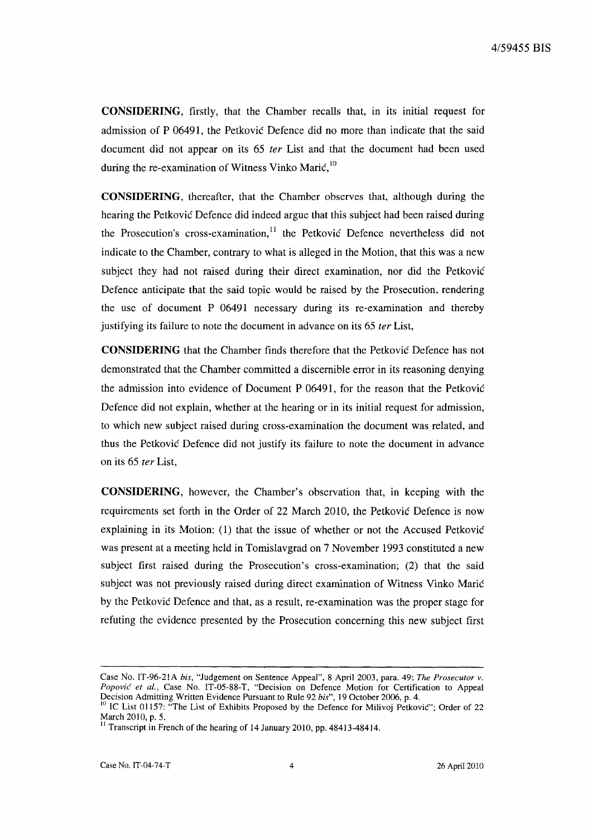**CONSIDERING,** firstly, that the Chamber recalls that, in its initial request for admission of P 06491, the Petkovic Defence did no more than indicate that the said document did not appear on its 65 *ter* List and that the document had been used during the re-examination of Witness Vinko Mari $\zeta$ ,  $^{10}$ 

**CONSIDERING,** thereafter, that the Chamber observes that, although during the hearing the Petković Defence did indeed argue that this subject had been raised during the Prosecution's cross-examination, $11$  the Petković Defence nevertheless did not indicate to the Chamber, contrary to what is alleged in the Motion, that this was a new subject they had not raised during their direct examination, nor did the Petkovic Defence anticipate that the said topic would be raised by the Prosecution, rendering the use of document P 06491 necessary during its re-examination and thereby justifying its failure to note the document in advance on its 65 *ter* List,

**CONSIDERING** that the Chamber finds therefore that the Petkovic Defence has not demonstrated that the Chamber committed a discernible error in its reasoning denying the admission into evidence of Document P 06491, for the reason that the Petkovic Defence did not explain, whether at the hearing or in its initial request for admission, to which new subject raised during cross-examination the document was related, and thus the Petković Defence did not justify its failure to note the document in advance on its 65 fer List,

**CONSIDERING,** however, the Chamber's observation that, in keeping with the requirements set forth in the Order of 22 March 2010, the Petkovic Defence is now explaining in its Motion: (1) that the issue of whether or not the Accused Petkovic was present at a meeting held in Tomislavgrad on 7 November 1993 constituted a new subject first raised during the Prosecution's cross-examination; (2) that the said subject was not previously raised during direct examination of Witness Vinko Marie by the Petkovic Defence and that, as a result, re-examination was the proper stage for refuting the evidence presented by the Prosecution concerning this new subject first

Case No. IT-96-2IA *his,* "Judgement on Sentence Appeal", 8 April 2003, para. 49; *The Prosecutor v. Popovic et al.,* Case No. *IT-OS-88-T,* "Decision on Defence Motion for Certification to Appeal Decision Admitting Written Evidence Pursuant to Rule 92 *his",* 19 October 2006, p. 4.

<sup>&</sup>lt;sup>10</sup> IC List 01157: "The List of Exhibits Proposed by the Defence for Milivoj Petković"; Order of 22 March 2010, p. 5.

<sup>&</sup>lt;sup>11</sup> Transcript in French of the hearing of 14 January 2010, pp. 48413-48414.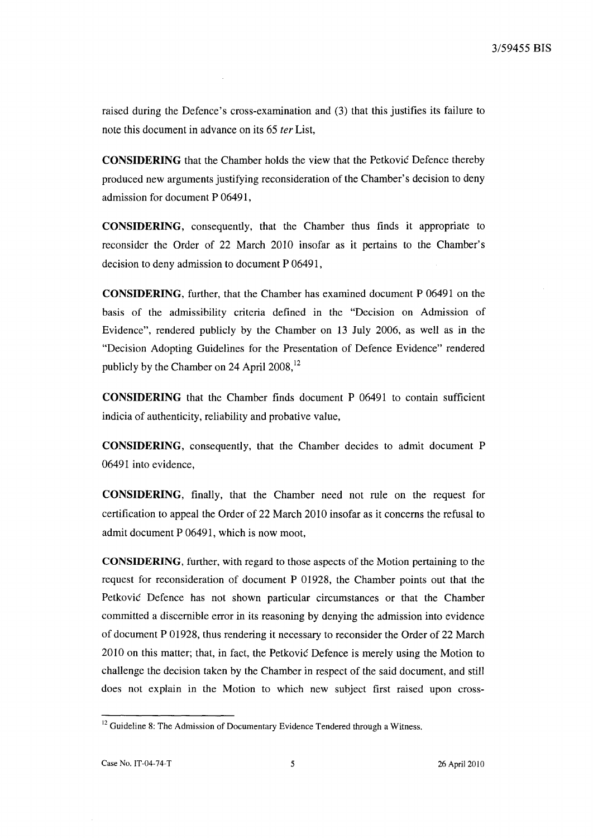raised during the Defence's cross-examination and (3) that this justifies its failure to note this document in advance on its 65 fer List,

**CONSIDERING** that the Chamber holds the view that the Petkovic Defence thereby produced new arguments justifying reconsideration of the Chamber's decision to deny admission for document P 06491,

**CONSIDERING,** consequently, that the Chamber thus finds it appropriate to reconsider the Order of 22 March 2010 insofar as it pertains to the Chamber's decision to deny admission to document P 06491,

**CONSIDERING,** further, that the Chamber has examined document P 06491 on the basis of the admissibility criteria defined in the "Decision on Admission of Evidence", rendered publicly by the Chamber on 13 July 2006, as well as in the "Decision Adopting Guidelines for the Presentation of Defence Evidence" rendered publicly by the Chamber on 24 April 2008,<sup>12</sup>

**CONSIDERING** that the Chamber finds document P 06491 to contain sufficient indicia of authenticity, reliability and probative value,

**CONSIDERING,** consequently, that the Chamber decides to admit document P 06491 into evidence,

**CONSIDERING,** finally, that the Chamber need not rule on the request for certification to appeal the Order of 22 March 2010 insofar as it concerns the refusal to admit document P 06491, which is now moot,

**CONSIDERING,** further, with regard to those aspects of the Motion pertaining to the request for reconsideration of document P 01928, the Chamber points out that the Petkovic Defence has not shown particular circumstances or that the Chamber committed a discernible error in its reasoning by denying the admission into evidence of document P 01928, thus rendering it necessary to reconsider the Order of 22 March 2010 on this matter; that, in fact, the Petkovic Defence is merely using the Motion to challenge the decision taken by the Chamber in respect of the said document, and still does not explain in the Motion to which new subject first raised upon cross-

<sup>&</sup>lt;sup>12</sup> Guideline 8: The Admission of Documentary Evidence Tendered through a Witness.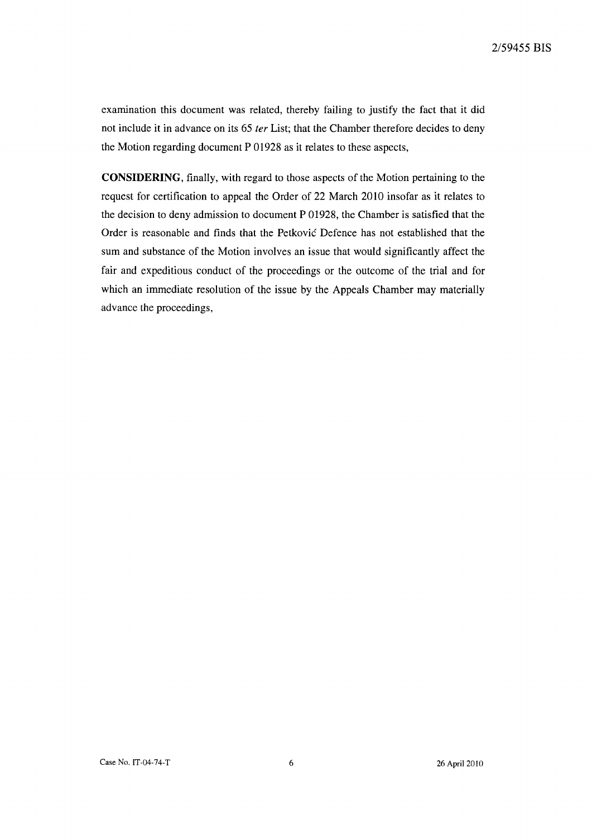examination this document was related, thereby failing to justify the fact that it did not include it in advance on its 65 *ter* List; that the Chamber therefore decides to deny the Motion regarding document P 01928 as it relates to these aspects,

**CONSIDERING,** finally, with regard to those aspects of the Motion pertaining to the request for certification to appeal the Order of 22 March 2010 insofar as it relates to the decision to deny admission to document P 01928, the Chamber is satisfied that the Order is reasonable and finds that the Petkovic Defence has not established that the sum and substance of the Motion involves an issue that would significantly affect the fair and expeditious conduct of the proceedings or the outcome of the trial and for which an immediate resolution of the issue by the Appeals Chamber may materially advance the proceedings,